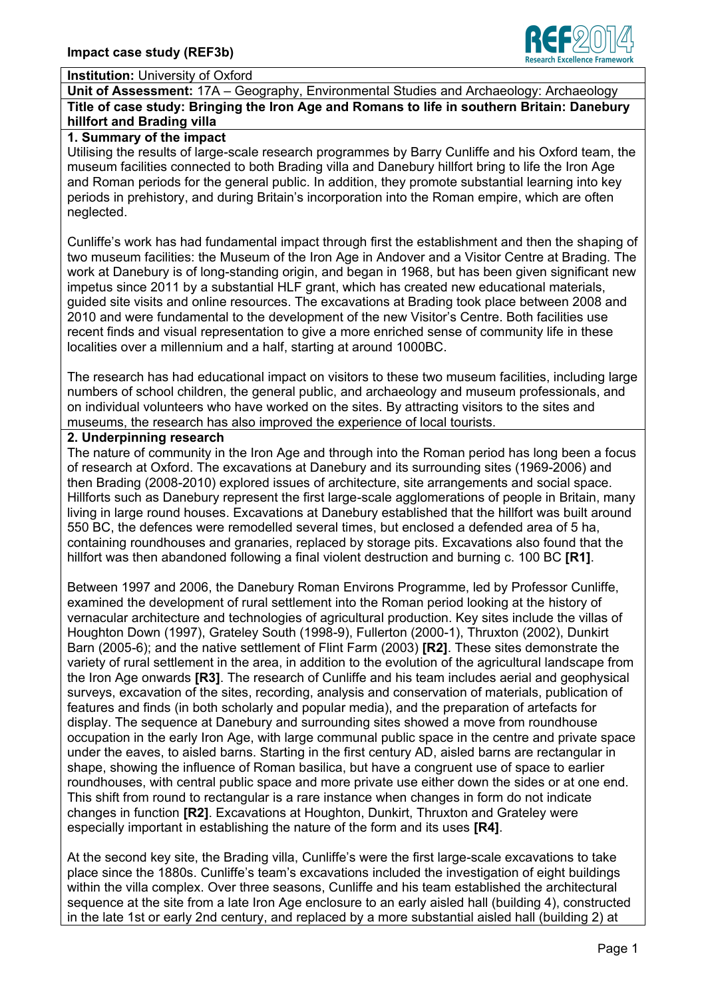

#### **Institution:** University of Oxford

**Unit of Assessment:** 17A – Geography, Environmental Studies and Archaeology: Archaeology **Title of case study: Bringing the Iron Age and Romans to life in southern Britain: Danebury hillfort and Brading villa** 

#### **1. Summary of the impact**

Utilising the results of large-scale research programmes by Barry Cunliffe and his Oxford team, the museum facilities connected to both Brading villa and Danebury hillfort bring to life the Iron Age and Roman periods for the general public. In addition, they promote substantial learning into key periods in prehistory, and during Britain's incorporation into the Roman empire, which are often neglected.

Cunliffe's work has had fundamental impact through first the establishment and then the shaping of two museum facilities: the Museum of the Iron Age in Andover and a Visitor Centre at Brading. The work at Danebury is of long-standing origin, and began in 1968, but has been given significant new impetus since 2011 by a substantial HLF grant, which has created new educational materials, guided site visits and online resources. The excavations at Brading took place between 2008 and 2010 and were fundamental to the development of the new Visitor's Centre. Both facilities use recent finds and visual representation to give a more enriched sense of community life in these localities over a millennium and a half, starting at around 1000BC.

The research has had educational impact on visitors to these two museum facilities, including large numbers of school children, the general public, and archaeology and museum professionals, and on individual volunteers who have worked on the sites. By attracting visitors to the sites and museums, the research has also improved the experience of local tourists.

## **2. Underpinning research**

The nature of community in the Iron Age and through into the Roman period has long been a focus of research at Oxford. The excavations at Danebury and its surrounding sites (1969-2006) and then Brading (2008-2010) explored issues of architecture, site arrangements and social space. Hillforts such as Danebury represent the first large-scale agglomerations of people in Britain, many living in large round houses. Excavations at Danebury established that the hillfort was built around 550 BC, the defences were remodelled several times, but enclosed a defended area of 5 ha, containing roundhouses and granaries, replaced by storage pits. Excavations also found that the hillfort was then abandoned following a final violent destruction and burning c. 100 BC **[R1]**.

Between 1997 and 2006, the Danebury Roman Environs Programme, led by Professor Cunliffe, examined the development of rural settlement into the Roman period looking at the history of vernacular architecture and technologies of agricultural production. Key sites include the villas of Houghton Down (1997), Grateley South (1998-9), Fullerton (2000-1), Thruxton (2002), Dunkirt Barn (2005-6); and the native settlement of Flint Farm (2003) **[R2]**. These sites demonstrate the variety of rural settlement in the area, in addition to the evolution of the agricultural landscape from the Iron Age onwards **[R3]**. The research of Cunliffe and his team includes aerial and geophysical surveys, excavation of the sites, recording, analysis and conservation of materials, publication of features and finds (in both scholarly and popular media), and the preparation of artefacts for display. The sequence at Danebury and surrounding sites showed a move from roundhouse occupation in the early Iron Age, with large communal public space in the centre and private space under the eaves, to aisled barns. Starting in the first century AD, aisled barns are rectangular in shape, showing the influence of Roman basilica, but have a congruent use of space to earlier roundhouses, with central public space and more private use either down the sides or at one end. This shift from round to rectangular is a rare instance when changes in form do not indicate changes in function **[R2]**. Excavations at Houghton, Dunkirt, Thruxton and Grateley were especially important in establishing the nature of the form and its uses **[R4]**.

At the second key site, the Brading villa, Cunliffe's were the first large-scale excavations to take place since the 1880s. Cunliffe's team's excavations included the investigation of eight buildings within the villa complex. Over three seasons, Cunliffe and his team established the architectural sequence at the site from a late Iron Age enclosure to an early aisled hall (building 4), constructed in the late 1st or early 2nd century, and replaced by a more substantial aisled hall (building 2) at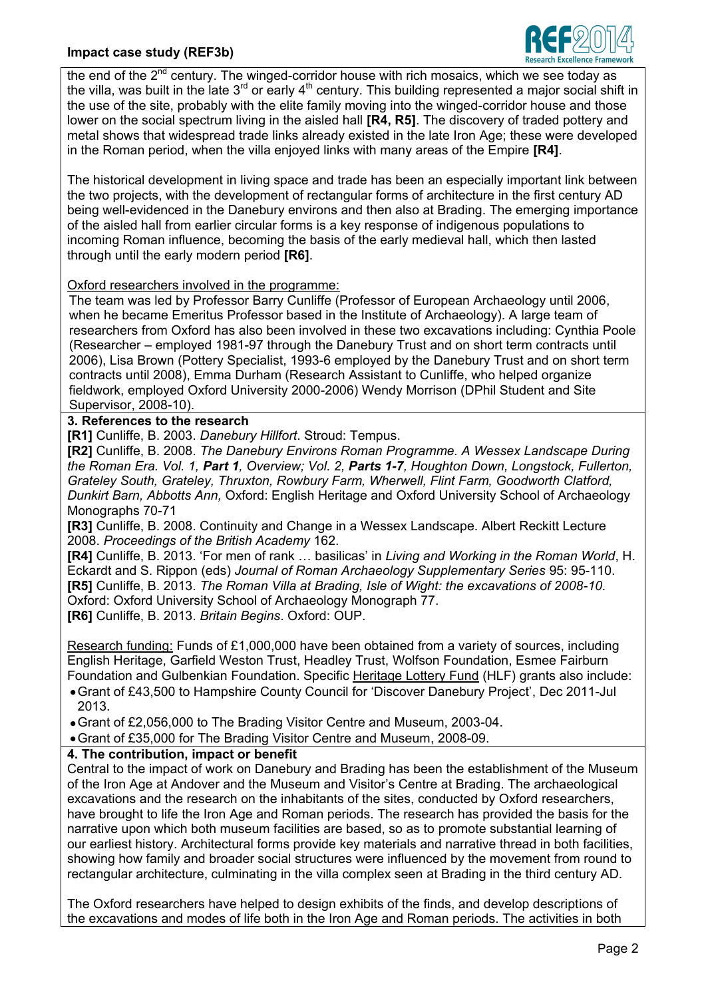

the end of the  $2^{nd}$  century. The winged-corridor house with rich mosaics, which we see today as the villa, was built in the late  $3^{rd}$  or early  $4^{th}$  century. This building represented a major social shift in the use of the site, probably with the elite family moving into the winged-corridor house and those lower on the social spectrum living in the aisled hall **[R4, R5]**. The discovery of traded pottery and metal shows that widespread trade links already existed in the late Iron Age; these were developed in the Roman period, when the villa enjoyed links with many areas of the Empire **[R4]**.

The historical development in living space and trade has been an especially important link between the two projects, with the development of rectangular forms of architecture in the first century AD being well-evidenced in the Danebury environs and then also at Brading. The emerging importance of the aisled hall from earlier circular forms is a key response of indigenous populations to incoming Roman influence, becoming the basis of the early medieval hall, which then lasted through until the early modern period **[R6]**.

Oxford researchers involved in the programme:

The team was led by Professor Barry Cunliffe (Professor of European Archaeology until 2006, when he became Emeritus Professor based in the Institute of Archaeology). A large team of researchers from Oxford has also been involved in these two excavations including: Cynthia Poole (Researcher – employed 1981-97 through the Danebury Trust and on short term contracts until 2006), Lisa Brown (Pottery Specialist, 1993-6 employed by the Danebury Trust and on short term contracts until 2008), Emma Durham (Research Assistant to Cunliffe, who helped organize fieldwork, employed Oxford University 2000-2006) Wendy Morrison (DPhil Student and Site Supervisor, 2008-10).

# **3. References to the research**

**[R1]** Cunliffe, B. 2003. *Danebury Hillfort*. Stroud: Tempus.

**[R2]** Cunliffe, B. 2008. *The Danebury Environs Roman Programme. A Wessex Landscape During the Roman Era. Vol. 1, Part 1, Overview; Vol. 2, Parts 1-7, Houghton Down, Longstock, Fullerton, Grateley South, Grateley, Thruxton, Rowbury Farm, Wherwell, Flint Farm, Goodworth Clatford, Dunkirt Barn, Abbotts Ann,* Oxford: English Heritage and Oxford University School of Archaeology Monographs 70-71

**[R3]** Cunliffe, B. 2008. Continuity and Change in a Wessex Landscape. Albert Reckitt Lecture 2008. *Proceedings of the British Academy* 162.

**[R4]** Cunliffe, B. 2013. 'For men of rank … basilicas' in *Living and Working in the Roman World*, H. Eckardt and S. Rippon (eds) *Journal of Roman Archaeology Supplementary Series* 95: 95-110. **[R5]** Cunliffe, B. 2013. *The Roman Villa at Brading, Isle of Wight: the excavations of 2008-10.* Oxford: Oxford University School of Archaeology Monograph 77. **[R6]** Cunliffe, B. 2013. *Britain Begins*. Oxford: OUP.

Research funding: Funds of £1,000,000 have been obtained from a variety of sources, including English Heritage, Garfield Weston Trust, Headley Trust, Wolfson Foundation, Esmee Fairburn Foundation and Gulbenkian Foundation. Specific Heritage Lottery Fund (HLF) grants also include:

Grant of £43,500 to Hampshire County Council for 'Discover Danebury Project', Dec 2011-Jul 2013.

Grant of £2,056,000 to The Brading Visitor Centre and Museum, 2003-04.

Grant of £35,000 for The Brading Visitor Centre and Museum, 2008-09.

### **4. The contribution, impact or benefit**

Central to the impact of work on Danebury and Brading has been the establishment of the Museum of the Iron Age at Andover and the Museum and Visitor's Centre at Brading. The archaeological excavations and the research on the inhabitants of the sites, conducted by Oxford researchers, have brought to life the Iron Age and Roman periods. The research has provided the basis for the narrative upon which both museum facilities are based, so as to promote substantial learning of our earliest history. Architectural forms provide key materials and narrative thread in both facilities, showing how family and broader social structures were influenced by the movement from round to rectangular architecture, culminating in the villa complex seen at Brading in the third century AD.

The Oxford researchers have helped to design exhibits of the finds, and develop descriptions of the excavations and modes of life both in the Iron Age and Roman periods. The activities in both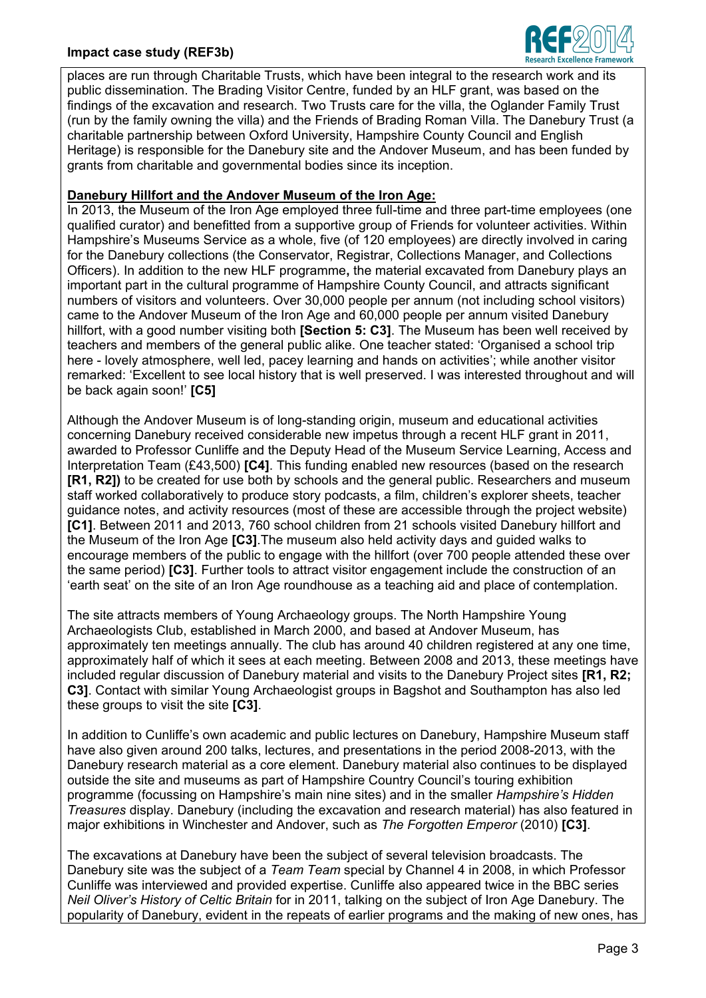### **Impact case study (REF3b)**



places are run through Charitable Trusts, which have been integral to the research work and its public dissemination. The Brading Visitor Centre, funded by an HLF grant, was based on the findings of the excavation and research. Two Trusts care for the villa, the Oglander Family Trust (run by the family owning the villa) and the Friends of Brading Roman Villa. The Danebury Trust (a charitable partnership between Oxford University, Hampshire County Council and English Heritage) is responsible for the Danebury site and the Andover Museum, and has been funded by grants from charitable and governmental bodies since its inception.

#### **Danebury Hillfort and the Andover Museum of the Iron Age:**

In 2013, the Museum of the Iron Age employed three full-time and three part-time employees (one qualified curator) and benefitted from a supportive group of Friends for volunteer activities. Within Hampshire's Museums Service as a whole, five (of 120 employees) are directly involved in caring for the Danebury collections (the Conservator, Registrar, Collections Manager, and Collections Officers). In addition to the new HLF programme**,** the material excavated from Danebury plays an important part in the cultural programme of Hampshire County Council, and attracts significant numbers of visitors and volunteers. Over 30,000 people per annum (not including school visitors) came to the Andover Museum of the Iron Age and 60,000 people per annum visited Danebury hillfort, with a good number visiting both **[Section 5: C3]**. The Museum has been well received by teachers and members of the general public alike. One teacher stated: 'Organised a school trip here - lovely atmosphere, well led, pacey learning and hands on activities'; while another visitor remarked: 'Excellent to see local history that is well preserved. I was interested throughout and will be back again soon!' **[C5]**

Although the Andover Museum is of long-standing origin, museum and educational activities concerning Danebury received considerable new impetus through a recent HLF grant in 2011, awarded to Professor Cunliffe and the Deputy Head of the Museum Service Learning, Access and Interpretation Team (£43,500) **[C4]**. This funding enabled new resources (based on the research **[R1, R2])** to be created for use both by schools and the general public. Researchers and museum staff worked collaboratively to produce story podcasts, a film, children's explorer sheets, teacher guidance notes, and activity resources (most of these are accessible through the project website) **[C1]**. Between 2011 and 2013, 760 school children from 21 schools visited Danebury hillfort and the Museum of the Iron Age **[C3]**.The museum also held activity days and guided walks to encourage members of the public to engage with the hillfort (over 700 people attended these over the same period) **[C3]**. Further tools to attract visitor engagement include the construction of an 'earth seat' on the site of an Iron Age roundhouse as a teaching aid and place of contemplation.

The site attracts members of Young Archaeology groups. The North Hampshire Young Archaeologists Club, established in March 2000, and based at Andover Museum, has approximately ten meetings annually. The club has around 40 children registered at any one time, approximately half of which it sees at each meeting. Between 2008 and 2013, these meetings have included regular discussion of Danebury material and visits to the Danebury Project sites **[R1, R2; C3]**. Contact with similar Young Archaeologist groups in Bagshot and Southampton has also led these groups to visit the site **[C3]**.

In addition to Cunliffe's own academic and public lectures on Danebury, Hampshire Museum staff have also given around 200 talks, lectures, and presentations in the period 2008-2013, with the Danebury research material as a core element. Danebury material also continues to be displayed outside the site and museums as part of Hampshire Country Council's touring exhibition programme (focussing on Hampshire's main nine sites) and in the smaller *Hampshire's Hidden Treasures* display. Danebury (including the excavation and research material) has also featured in major exhibitions in Winchester and Andover, such as *The Forgotten Emperor* (2010) **[C3]**.

The excavations at Danebury have been the subject of several television broadcasts. The Danebury site was the subject of a *Team Team* special by Channel 4 in 2008, in which Professor Cunliffe was interviewed and provided expertise. Cunliffe also appeared twice in the BBC series *Neil Oliver's History of Celtic Britain* for in 2011, talking on the subject of Iron Age Danebury. The popularity of Danebury, evident in the repeats of earlier programs and the making of new ones, has